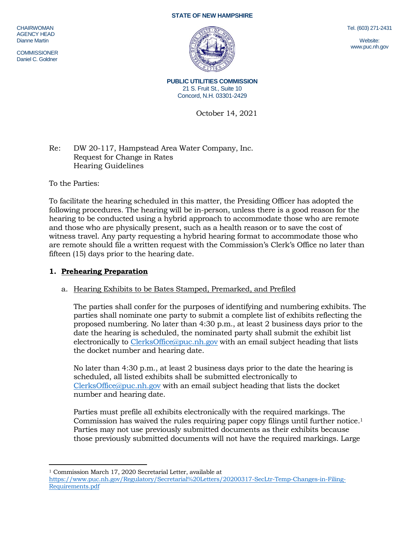#### **STATE OF NEW HAMPSHIRE**

**CHAIRWOMAN** AGENCY HEAD Dianne Martin

**COMMISSIONER** Daniel C. Goldner

**PUBLIC UTILITIES COMMISSION** 21 S. Fruit St., Suite 10 Concord, N.H. 03301-2429

October 14, 2021

Re: DW 20-117, Hampstead Area Water Company, Inc. Request for Change in Rates Hearing Guidelines

To the Parties:

To facilitate the hearing scheduled in this matter, the Presiding Officer has adopted the following procedures. The hearing will be in-person, unless there is a good reason for the hearing to be conducted using a hybrid approach to accommodate those who are remote and those who are physically present, such as a health reason or to save the cost of witness travel. Any party requesting a hybrid hearing format to accommodate those who are remote should file a written request with the Commission's Clerk's Office no later than fifteen (15) days prior to the hearing date.

## **1. Prehearing Preparation**

## a. Hearing Exhibits to be Bates Stamped, Premarked, and Prefiled

The parties shall confer for the purposes of identifying and numbering exhibits. The parties shall nominate one party to submit a complete list of exhibits reflecting the proposed numbering. No later than 4:30 p.m., at least 2 business days prior to the date the hearing is scheduled, the nominated party shall submit the exhibit list electronically to [ClerksOffice@puc.nh.gov](mailto:ClerksOffice@puc.nh.gov) with an email subject heading that lists the docket number and hearing date.

No later than 4:30 p.m., at least 2 business days prior to the date the hearing is scheduled, all listed exhibits shall be submitted electronically to [ClerksOffice@puc.nh.gov](mailto:Clerks.Office@puc.nh.gov) with an email subject heading that lists the docket number and hearing date.

Parties must prefile all exhibits electronically with the required markings. The Commission has waived the rules requiring paper copy filings until further notice. 1 Parties may not use previously submitted documents as their exhibits because those previously submitted documents will not have the required markings. Large

 $\overline{a}$ <sup>1</sup> Commission March 17, 2020 Secretarial Letter, available at Tel. (603) 271-2431

Website: www.puc.nh.gov

[https://www.puc.nh.gov/Regulatory/Secretarial%20Letters/20200317-SecLtr-Temp-Changes-in-Filing-](https://www.puc.nh.gov/Regulatory/Secretarial%20Letters/20200317-SecLtr-Temp-Changes-in-Filing-Requirements.pdf)[Requirements.pdf](https://www.puc.nh.gov/Regulatory/Secretarial%20Letters/20200317-SecLtr-Temp-Changes-in-Filing-Requirements.pdf)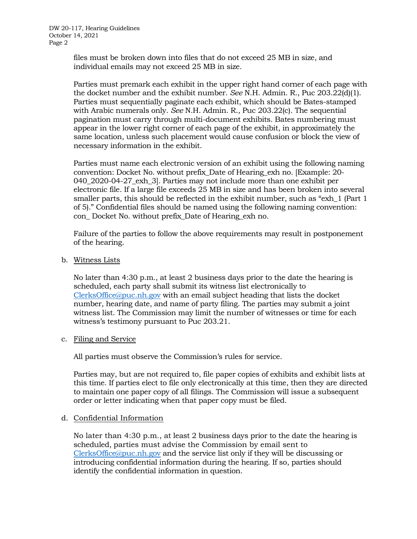files must be broken down into files that do not exceed 25 MB in size, and individual emails may not exceed 25 MB in size.

Parties must premark each exhibit in the upper right hand corner of each page with the docket number and the exhibit number. *See* N.H. Admin. R., Puc 203.22(d)(1). Parties must sequentially paginate each exhibit, which should be Bates-stamped with Arabic numerals only. *See* N.H. Admin. R., Puc 203.22(c). The sequential pagination must carry through multi-document exhibits. Bates numbering must appear in the lower right corner of each page of the exhibit, in approximately the same location, unless such placement would cause confusion or block the view of necessary information in the exhibit.

Parties must name each electronic version of an exhibit using the following naming convention: Docket No. without prefix\_Date of Hearing\_exh no. [Example: 20- 040\_2020-04-27\_exh\_3]. Parties may not include more than one exhibit per electronic file. If a large file exceeds 25 MB in size and has been broken into several smaller parts, this should be reflected in the exhibit number, such as "exh\_1 (Part 1 of 5)." Confidential files should be named using the following naming convention: con\_ Docket No. without prefix\_Date of Hearing\_exh no.

Failure of the parties to follow the above requirements may result in postponement of the hearing.

b. Witness Lists

No later than 4:30 p.m., at least 2 business days prior to the date the hearing is scheduled, each party shall submit its witness list electronically to [ClerksOffice@puc.nh.gov](mailto:Clerks.Office@puc.nh.gov) with an email subject heading that lists the docket number, hearing date, and name of party filing. The parties may submit a joint witness list. The Commission may limit the number of witnesses or time for each witness's testimony pursuant to Puc 203.21.

c. Filing and Service

All parties must observe the Commission's rules for service.

Parties may, but are not required to, file paper copies of exhibits and exhibit lists at this time. If parties elect to file only electronically at this time, then they are directed to maintain one paper copy of all filings. The Commission will issue a subsequent order or letter indicating when that paper copy must be filed.

## d. Confidential Information

No later than 4:30 p.m., at least 2 business days prior to the date the hearing is scheduled, parties must advise the Commission by email sent to [ClerksOffice@puc.nh.gov](mailto:Clerks.Office@puc.nh.gov) and the service list only if they will be discussing or introducing confidential information during the hearing. If so, parties should identify the confidential information in question.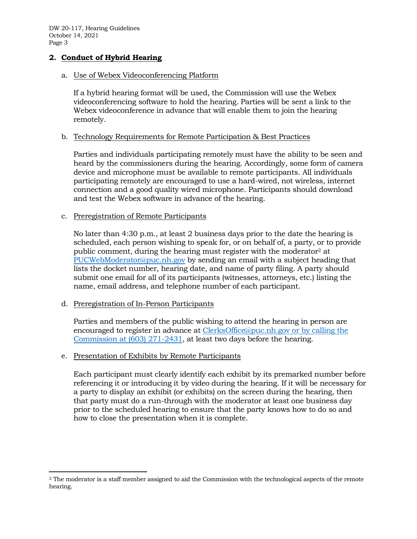## **2. Conduct of Hybrid Hearing**

## a. Use of Webex Videoconferencing Platform

If a hybrid hearing format will be used, the Commission will use the Webex videoconferencing software to hold the hearing. Parties will be sent a link to the Webex videoconference in advance that will enable them to join the hearing remotely.

## b. Technology Requirements for Remote Participation & Best Practices

Parties and individuals participating remotely must have the ability to be seen and heard by the commissioners during the hearing. Accordingly, some form of camera device and microphone must be available to remote participants. All individuals participating remotely are encouraged to use a hard-wired, not wireless, internet connection and a good quality wired microphone. Participants should download and test the Webex software in advance of the hearing.

### c. Preregistration of Remote Participants

No later than 4:30 p.m., at least 2 business days prior to the date the hearing is scheduled, each person wishing to speak for, or on behalf of, a party, or to provide public comment, during the hearing must register with the moderator<sup>2</sup> at [PUCWebModerator@puc.nh.gov](mailto:PUCWebModerator@puc.nh.gov) by sending an email with a subject heading that lists the docket number, hearing date, and name of party filing. A party should submit one email for all of its participants (witnesses, attorneys, etc.) listing the name, email address, and telephone number of each participant.

## d. Preregistration of In-Person Participants

 $\overline{a}$ 

Parties and members of the public wishing to attend the hearing in person are encouraged to register in advance at [ClerksOffice@puc.nh.gov](mailto:Clerks.Office@puc.nh.gov) or by calling the Commission at (603) 271-2431, at least two days before the hearing.

## e. Presentation of Exhibits by Remote Participants

Each participant must clearly identify each exhibit by its premarked number before referencing it or introducing it by video during the hearing. If it will be necessary for a party to display an exhibit (or exhibits) on the screen during the hearing, then that party must do a run-through with the moderator at least one business day prior to the scheduled hearing to ensure that the party knows how to do so and how to close the presentation when it is complete.

<sup>2</sup> The moderator is a staff member assigned to aid the Commission with the technological aspects of the remote hearing.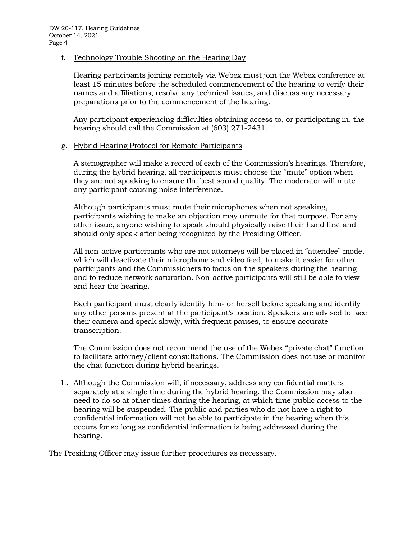## f. Technology Trouble Shooting on the Hearing Day

Hearing participants joining remotely via Webex must join the Webex conference at least 15 minutes before the scheduled commencement of the hearing to verify their names and affiliations, resolve any technical issues, and discuss any necessary preparations prior to the commencement of the hearing.

Any participant experiencing difficulties obtaining access to, or participating in, the hearing should call the Commission at (603) 271-2431.

## g. Hybrid Hearing Protocol for Remote Participants

A stenographer will make a record of each of the Commission's hearings. Therefore, during the hybrid hearing, all participants must choose the "mute" option when they are not speaking to ensure the best sound quality. The moderator will mute any participant causing noise interference.

Although participants must mute their microphones when not speaking, participants wishing to make an objection may unmute for that purpose. For any other issue, anyone wishing to speak should physically raise their hand first and should only speak after being recognized by the Presiding Officer.

All non-active participants who are not attorneys will be placed in "attendee" mode, which will deactivate their microphone and video feed, to make it easier for other participants and the Commissioners to focus on the speakers during the hearing and to reduce network saturation. Non-active participants will still be able to view and hear the hearing.

Each participant must clearly identify him- or herself before speaking and identify any other persons present at the participant's location. Speakers are advised to face their camera and speak slowly, with frequent pauses, to ensure accurate transcription.

The Commission does not recommend the use of the Webex "private chat" function to facilitate attorney/client consultations. The Commission does not use or monitor the chat function during hybrid hearings.

h. Although the Commission will, if necessary, address any confidential matters separately at a single time during the hybrid hearing, the Commission may also need to do so at other times during the hearing, at which time public access to the hearing will be suspended. The public and parties who do not have a right to confidential information will not be able to participate in the hearing when this occurs for so long as confidential information is being addressed during the hearing.

The Presiding Officer may issue further procedures as necessary.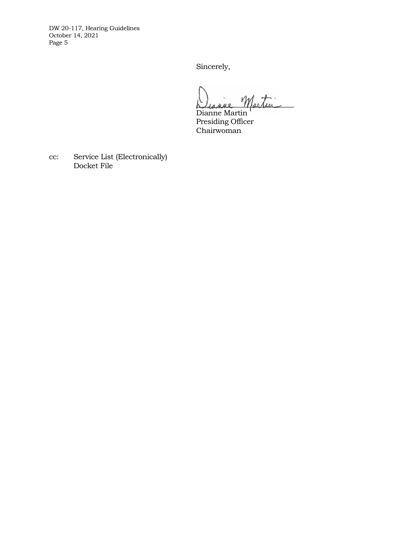Sincerely,

Diagne Martin

Dianne Martin Presiding Officer Chairwoman

cc: Service List (Electronically) Docket File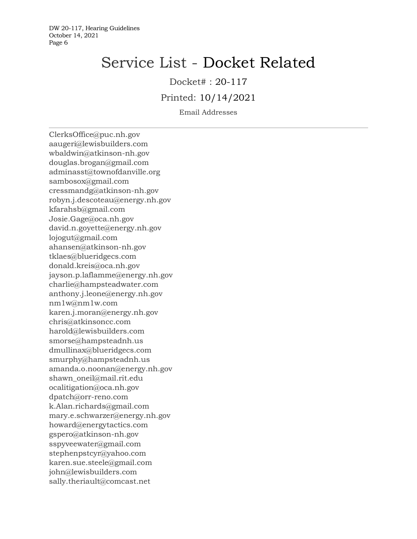# Service List - Docket Related

Docket# : 20-117

Printed: 10/14/2021

Email Addresses

ClerksOffice@puc.nh.gov aaugeri@lewisbuilders.com wbaldwin@atkinson-nh.gov douglas.brogan@gmail.com adminasst@townofdanville.org sambosox@gmail.com cressmandg@atkinson-nh.gov robyn.j.descoteau@energy.nh.gov kfarahsb@gmail.com Josie.Gage@oca.nh.gov david.n.goyette@energy.nh.gov lojogut@gmail.com ahansen@atkinson-nh.gov tklaes@blueridgecs.com donald.kreis@oca.nh.gov jayson.p.laflamme@energy.nh.gov charlie@hampsteadwater.com anthony.j.leone@energy.nh.gov nm1w@nm1w.com karen.j.moran@energy.nh.gov chris@atkinsoncc.com harold@lewisbuilders.com smorse@hampsteadnh.us dmullinax@blueridgecs.com smurphy@hampsteadnh.us amanda.o.noonan@energy.nh.gov shawn\_oneil@mail.rit.edu ocalitigation@oca.nh.gov dpatch@orr-reno.com k.Alan.richards@gmail.com mary.e.schwarzer@energy.nh.gov howard@energytactics.com gspero@atkinson-nh.gov sspyveewater@gmail.com stephenpstcyr@yahoo.com karen.sue.steele@gmail.com john@lewisbuilders.com sally.theriault@comcast.net